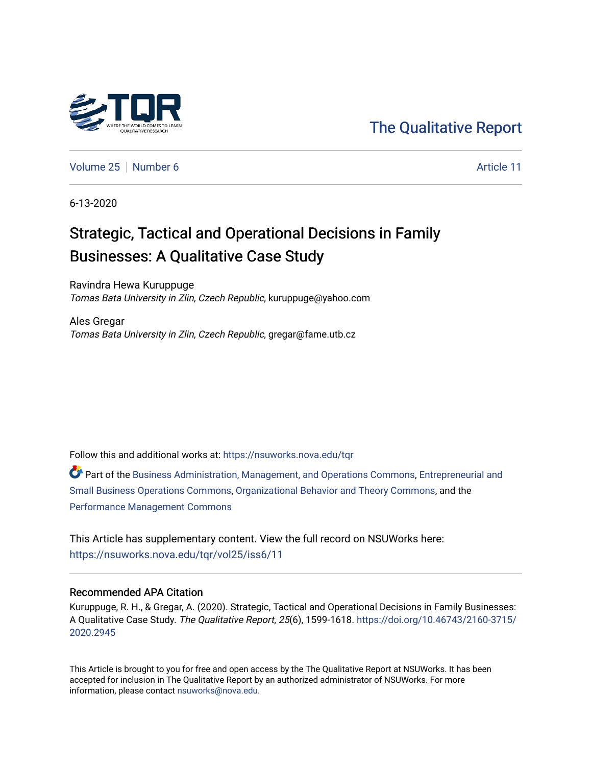

## [The Qualitative Report](https://nsuworks.nova.edu/tqr)

[Volume 25](https://nsuworks.nova.edu/tqr/vol25) [Number 6](https://nsuworks.nova.edu/tqr/vol25/iss6) Article 11

6-13-2020

# Strategic, Tactical and Operational Decisions in Family Businesses: A Qualitative Case Study

Ravindra Hewa Kuruppuge Tomas Bata University in Zlin, Czech Republic, kuruppuge@yahoo.com

Ales Gregar Tomas Bata University in Zlin, Czech Republic, gregar@fame.utb.cz

Follow this and additional works at: [https://nsuworks.nova.edu/tqr](https://nsuworks.nova.edu/tqr?utm_source=nsuworks.nova.edu%2Ftqr%2Fvol25%2Fiss6%2F11&utm_medium=PDF&utm_campaign=PDFCoverPages) 

Part of the [Business Administration, Management, and Operations Commons](http://network.bepress.com/hgg/discipline/623?utm_source=nsuworks.nova.edu%2Ftqr%2Fvol25%2Fiss6%2F11&utm_medium=PDF&utm_campaign=PDFCoverPages), [Entrepreneurial and](http://network.bepress.com/hgg/discipline/630?utm_source=nsuworks.nova.edu%2Ftqr%2Fvol25%2Fiss6%2F11&utm_medium=PDF&utm_campaign=PDFCoverPages) [Small Business Operations Commons](http://network.bepress.com/hgg/discipline/630?utm_source=nsuworks.nova.edu%2Ftqr%2Fvol25%2Fiss6%2F11&utm_medium=PDF&utm_campaign=PDFCoverPages), [Organizational Behavior and Theory Commons](http://network.bepress.com/hgg/discipline/639?utm_source=nsuworks.nova.edu%2Ftqr%2Fvol25%2Fiss6%2F11&utm_medium=PDF&utm_campaign=PDFCoverPages), and the [Performance Management Commons](http://network.bepress.com/hgg/discipline/1256?utm_source=nsuworks.nova.edu%2Ftqr%2Fvol25%2Fiss6%2F11&utm_medium=PDF&utm_campaign=PDFCoverPages) 

This Article has supplementary content. View the full record on NSUWorks here: <https://nsuworks.nova.edu/tqr/vol25/iss6/11>

#### Recommended APA Citation

Kuruppuge, R. H., & Gregar, A. (2020). Strategic, Tactical and Operational Decisions in Family Businesses: A Qualitative Case Study. The Qualitative Report, 25(6), 1599-1618. [https://doi.org/10.46743/2160-3715/](https://doi.org/10.46743/2160-3715/2020.2945) [2020.2945](https://doi.org/10.46743/2160-3715/2020.2945) 

This Article is brought to you for free and open access by the The Qualitative Report at NSUWorks. It has been accepted for inclusion in The Qualitative Report by an authorized administrator of NSUWorks. For more information, please contact [nsuworks@nova.edu.](mailto:nsuworks@nova.edu)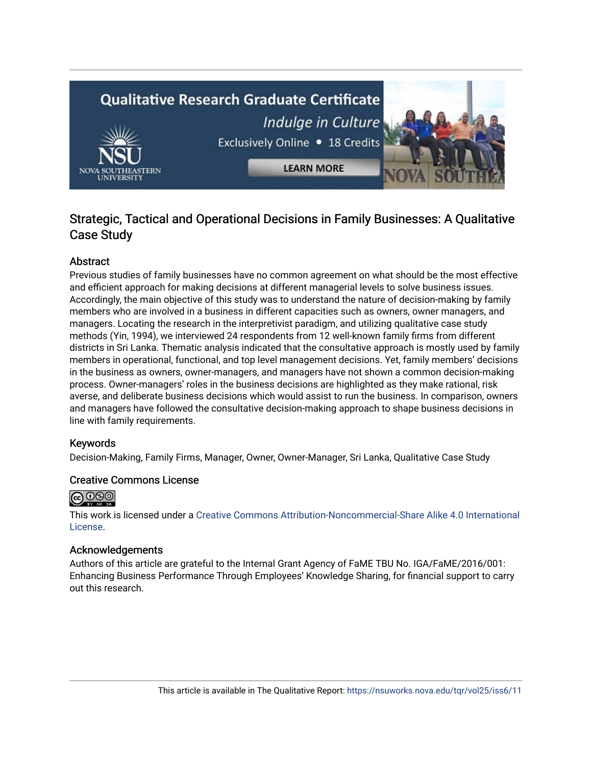# **Qualitative Research Graduate Certificate** Indulge in Culture Exclusively Online . 18 Credits **LEARN MORE**

## Strategic, Tactical and Operational Decisions in Family Businesses: A Qualitative Case Study

#### Abstract

Previous studies of family businesses have no common agreement on what should be the most effective and efficient approach for making decisions at different managerial levels to solve business issues. Accordingly, the main objective of this study was to understand the nature of decision-making by family members who are involved in a business in different capacities such as owners, owner managers, and managers. Locating the research in the interpretivist paradigm, and utilizing qualitative case study methods (Yin, 1994), we interviewed 24 respondents from 12 well-known family firms from different districts in Sri Lanka. Thematic analysis indicated that the consultative approach is mostly used by family members in operational, functional, and top level management decisions. Yet, family members' decisions in the business as owners, owner-managers, and managers have not shown a common decision-making process. Owner-managers' roles in the business decisions are highlighted as they make rational, risk averse, and deliberate business decisions which would assist to run the business. In comparison, owners and managers have followed the consultative decision-making approach to shape business decisions in line with family requirements.

#### Keywords

Decision-Making, Family Firms, Manager, Owner, Owner-Manager, Sri Lanka, Qualitative Case Study

#### Creative Commons License



This work is licensed under a [Creative Commons Attribution-Noncommercial-Share Alike 4.0 International](https://creativecommons.org/licenses/by-nc-sa/4.0/)  [License](https://creativecommons.org/licenses/by-nc-sa/4.0/).

#### Acknowledgements

Authors of this article are grateful to the Internal Grant Agency of FaME TBU No. IGA/FaME/2016/001: Enhancing Business Performance Through Employees' Knowledge Sharing, for financial support to carry out this research.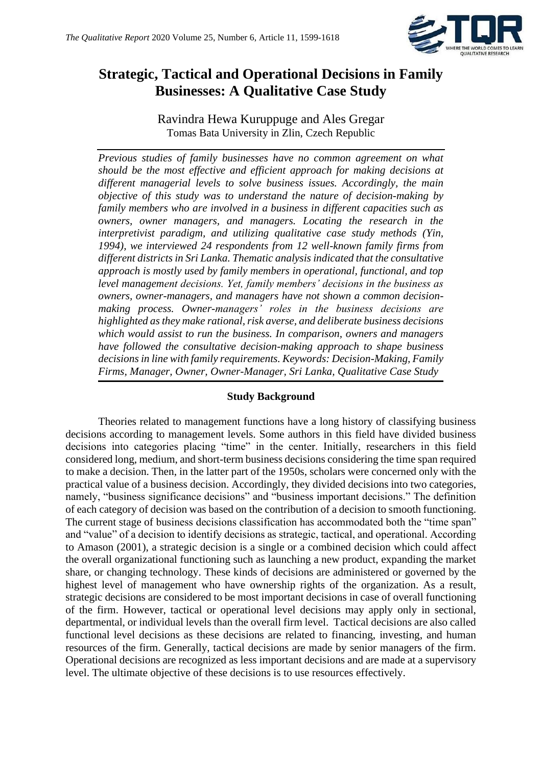

## **Strategic, Tactical and Operational Decisions in Family Businesses: A Qualitative Case Study**

Ravindra Hewa Kuruppuge and Ales Gregar Tomas Bata University in Zlin, Czech Republic

*Previous studies of family businesses have no common agreement on what should be the most effective and efficient approach for making decisions at different managerial levels to solve business issues. Accordingly, the main objective of this study was to understand the nature of decision-making by family members who are involved in a business in different capacities such as owners, owner managers, and managers. Locating the research in the interpretivist paradigm, and utilizing qualitative case study methods (Yin, 1994), we interviewed 24 respondents from 12 well-known family firms from different districts in Sri Lanka. Thematic analysis indicated that the consultative approach is mostly used by family members in operational, functional, and top level management decisions. Yet, family members' decisions in the business as owners, owner-managers, and managers have not shown a common decisionmaking process. Owner-managers' roles in the business decisions are highlighted as they make rational, risk averse, and deliberate business decisions which would assist to run the business. In comparison, owners and managers have followed the consultative decision-making approach to shape business decisions in line with family requirements. Keywords: Decision-Making, Family Firms, Manager, Owner, Owner-Manager, Sri Lanka, Qualitative Case Study*

#### **Study Background**

Theories related to management functions have a long history of classifying business decisions according to management levels. Some authors in this field have divided business decisions into categories placing "time" in the center. Initially, researchers in this field considered long, medium, and short-term business decisions considering the time span required to make a decision. Then, in the latter part of the 1950s, scholars were concerned only with the practical value of a business decision. Accordingly, they divided decisions into two categories, namely, "business significance decisions" and "business important decisions." The definition of each category of decision was based on the contribution of a decision to smooth functioning. The current stage of business decisions classification has accommodated both the "time span" and "value" of a decision to identify decisions as strategic, tactical, and operational. According to Amason (2001), a strategic decision is a single or a combined decision which could affect the overall organizational functioning such as launching a new product, expanding the market share, or changing technology. These kinds of decisions are administered or governed by the highest level of management who have ownership rights of the organization. As a result, strategic decisions are considered to be most important decisions in case of overall functioning of the firm. However, tactical or operational level decisions may apply only in sectional, departmental, or individual levels than the overall firm level. Tactical decisions are also called functional level decisions as these decisions are related to financing, investing, and human resources of the firm. Generally, tactical decisions are made by senior managers of the firm. Operational decisions are recognized as less important decisions and are made at a supervisory level. The ultimate objective of these decisions is to use resources effectively.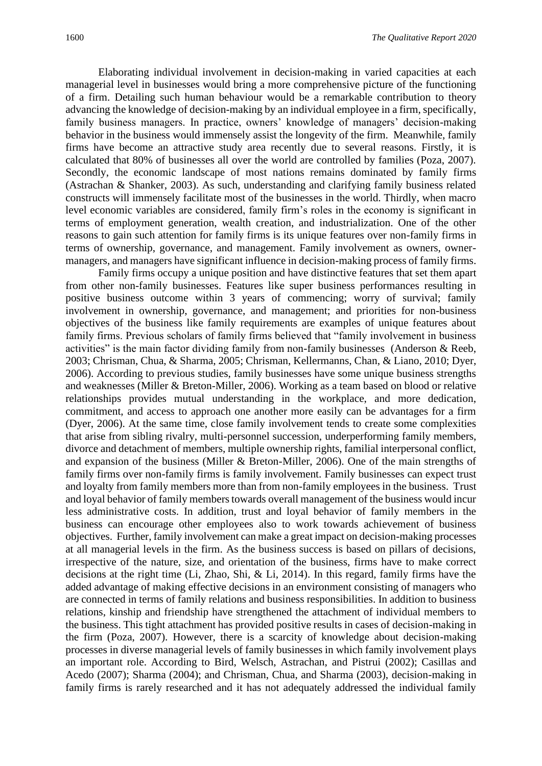Elaborating individual involvement in decision-making in varied capacities at each managerial level in businesses would bring a more comprehensive picture of the functioning of a firm. Detailing such human behaviour would be a remarkable contribution to theory advancing the knowledge of decision-making by an individual employee in a firm, specifically, family business managers. In practice, owners' knowledge of managers' decision-making behavior in the business would immensely assist the longevity of the firm. Meanwhile, family firms have become an attractive study area recently due to several reasons. Firstly, it is calculated that 80% of businesses all over the world are controlled by families (Poza, 2007). Secondly, the economic landscape of most nations remains dominated by family firms (Astrachan & Shanker, 2003). As such, understanding and clarifying family business related constructs will immensely facilitate most of the businesses in the world. Thirdly, when macro level economic variables are considered, family firm's roles in the economy is significant in terms of employment generation, wealth creation, and industrialization. One of the other reasons to gain such attention for family firms is its unique features over non-family firms in terms of ownership, governance, and management. Family involvement as owners, ownermanagers, and managers have significant influence in decision-making process of family firms.

Family firms occupy a unique position and have distinctive features that set them apart from other non-family businesses. Features like super business performances resulting in positive business outcome within 3 years of commencing; worry of survival; family involvement in ownership, governance, and management; and priorities for non-business objectives of the business like family requirements are examples of unique features about family firms. Previous scholars of family firms believed that "family involvement in business activities" is the main factor dividing family from non-family businesses (Anderson & Reeb, 2003; Chrisman, Chua, & Sharma, 2005; Chrisman, Kellermanns, Chan, & Liano, 2010; Dyer, 2006). According to previous studies, family businesses have some unique business strengths and weaknesses (Miller & Breton‐Miller, 2006). Working as a team based on blood or relative relationships provides mutual understanding in the workplace, and more dedication, commitment, and access to approach one another more easily can be advantages for a firm (Dyer, 2006). At the same time, close family involvement tends to create some complexities that arise from sibling rivalry, multi-personnel succession, underperforming family members, divorce and detachment of members, multiple ownership rights, familial interpersonal conflict, and expansion of the business (Miller & Breton-Miller, 2006). One of the main strengths of family firms over non-family firms is family involvement. Family businesses can expect trust and loyalty from family members more than from non-family employees in the business. Trust and loyal behavior of family members towards overall management of the business would incur less administrative costs. In addition, trust and loyal behavior of family members in the business can encourage other employees also to work towards achievement of business objectives. Further, family involvement can make a great impact on decision-making processes at all managerial levels in the firm. As the business success is based on pillars of decisions, irrespective of the nature, size, and orientation of the business, firms have to make correct decisions at the right time (Li, Zhao, Shi, & Li, 2014). In this regard, family firms have the added advantage of making effective decisions in an environment consisting of managers who are connected in terms of family relations and business responsibilities. In addition to business relations, kinship and friendship have strengthened the attachment of individual members to the business. This tight attachment has provided positive results in cases of decision-making in the firm (Poza, 2007). However, there is a scarcity of knowledge about decision-making processes in diverse managerial levels of family businesses in which family involvement plays an important role. According to Bird, Welsch, Astrachan, and Pistrui (2002); Casillas and Acedo (2007); Sharma (2004); and Chrisman, Chua, and Sharma (2003), decision-making in family firms is rarely researched and it has not adequately addressed the individual family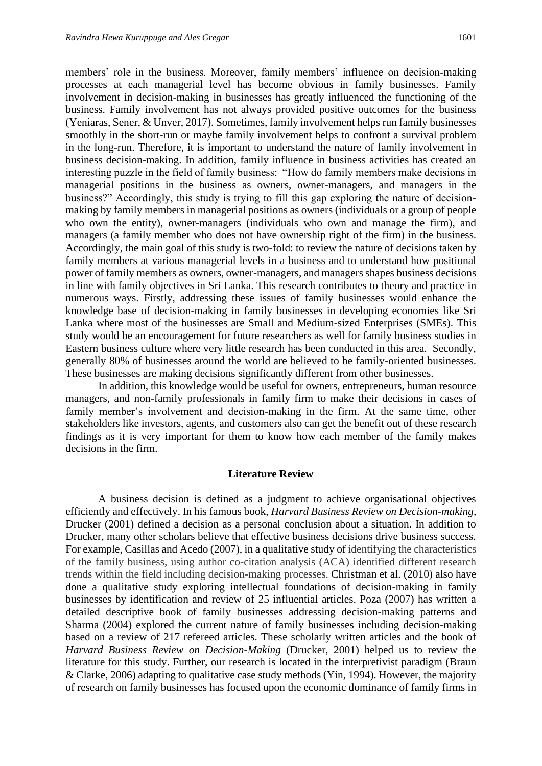members' role in the business. Moreover, family members' influence on decision-making processes at each managerial level has become obvious in family businesses. Family involvement in decision-making in businesses has greatly influenced the functioning of the business. Family involvement has not always provided positive outcomes for the business (Yeniaras, Sener, & Unver, 2017). Sometimes, family involvement helps run family businesses smoothly in the short-run or maybe family involvement helps to confront a survival problem in the long-run. Therefore, it is important to understand the nature of family involvement in business decision-making. In addition, family influence in business activities has created an interesting puzzle in the field of family business: "How do family members make decisions in managerial positions in the business as owners, owner-managers, and managers in the business?" Accordingly, this study is trying to fill this gap exploring the nature of decisionmaking by family members in managerial positions as owners (individuals or a group of people who own the entity), owner-managers (individuals who own and manage the firm), and managers (a family member who does not have ownership right of the firm) in the business. Accordingly, the main goal of this study is two-fold: to review the nature of decisions taken by family members at various managerial levels in a business and to understand how positional power of family members as owners, owner-managers, and managers shapes business decisions in line with family objectives in Sri Lanka. This research contributes to theory and practice in numerous ways. Firstly, addressing these issues of family businesses would enhance the knowledge base of decision-making in family businesses in developing economies like Sri Lanka where most of the businesses are Small and Medium-sized Enterprises (SMEs). This study would be an encouragement for future researchers as well for family business studies in Eastern business culture where very little research has been conducted in this area. Secondly, generally 80% of businesses around the world are believed to be family-oriented businesses. These businesses are making decisions significantly different from other businesses.

In addition, this knowledge would be useful for owners, entrepreneurs, human resource managers, and non-family professionals in family firm to make their decisions in cases of family member's involvement and decision-making in the firm. At the same time, other stakeholders like investors, agents, and customers also can get the benefit out of these research findings as it is very important for them to know how each member of the family makes decisions in the firm.

#### **Literature Review**

A business decision is defined as a judgment to achieve organisational objectives efficiently and effectively. In his famous book, *Harvard Business Review on Decision-making*, Drucker (2001) defined a decision as a personal conclusion about a situation. In addition to Drucker, many other scholars believe that effective business decisions drive business success. For example, Casillas and Acedo (2007), in a qualitative study of identifying the characteristics of the family business, using author co-citation analysis (ACA) identified different research trends within the field including decision-making processes. Christman et al. (2010) also have done a qualitative study exploring intellectual foundations of decision-making in family businesses by identification and review of 25 influential articles. Poza (2007) has written a detailed descriptive book of family businesses addressing decision-making patterns and Sharma (2004) explored the current nature of family businesses including decision-making based on a review of 217 refereed articles. These scholarly written articles and the book of *Harvard Business Review on Decision-Making* (Drucker, 2001) helped us to review the literature for this study. Further, our research is located in the interpretivist paradigm (Braun & Clarke, 2006) adapting to qualitative case study methods (Yin, 1994). However, the majority of research on family businesses has focused upon the economic dominance of family firms in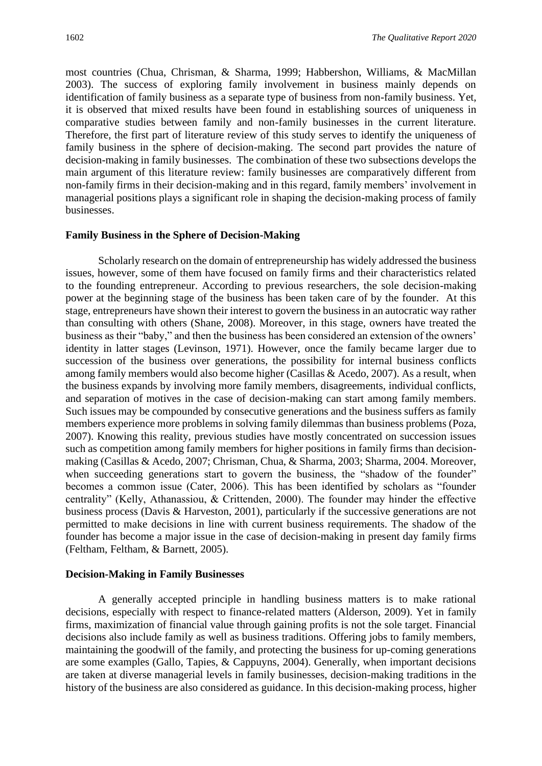most countries (Chua, Chrisman, & Sharma, 1999; Habbershon, Williams, & MacMillan 2003). The success of exploring family involvement in business mainly depends on identification of family business as a separate type of business from non-family business. Yet, it is observed that mixed results have been found in establishing sources of uniqueness in comparative studies between family and non-family businesses in the current literature. Therefore, the first part of literature review of this study serves to identify the uniqueness of family business in the sphere of decision-making. The second part provides the nature of decision-making in family businesses. The combination of these two subsections develops the main argument of this literature review: family businesses are comparatively different from non-family firms in their decision-making and in this regard, family members' involvement in managerial positions plays a significant role in shaping the decision-making process of family businesses.

#### **Family Business in the Sphere of Decision-Making**

Scholarly research on the domain of entrepreneurship has widely addressed the business issues, however, some of them have focused on family firms and their characteristics related to the founding entrepreneur. According to previous researchers, the sole decision-making power at the beginning stage of the business has been taken care of by the founder. At this stage, entrepreneurs have shown their interest to govern the business in an autocratic way rather than consulting with others (Shane, 2008). Moreover, in this stage, owners have treated the business as their "baby," and then the business has been considered an extension of the owners' identity in latter stages (Levinson, 1971). However, once the family became larger due to succession of the business over generations, the possibility for internal business conflicts among family members would also become higher (Casillas & Acedo, 2007). As a result, when the business expands by involving more family members, disagreements, individual conflicts, and separation of motives in the case of decision-making can start among family members. Such issues may be compounded by consecutive generations and the business suffers as family members experience more problems in solving family dilemmas than business problems (Poza, 2007). Knowing this reality, previous studies have mostly concentrated on succession issues such as competition among family members for higher positions in family firms than decisionmaking (Casillas & Acedo, 2007; Chrisman, Chua, & Sharma, 2003; Sharma, 2004. Moreover, when succeeding generations start to govern the business, the "shadow of the founder" becomes a common issue (Cater, 2006). This has been identified by scholars as "founder centrality" (Kelly, Athanassiou, & Crittenden, 2000). The founder may hinder the effective business process (Davis & Harveston, 2001), particularly if the successive generations are not permitted to make decisions in line with current business requirements. The shadow of the founder has become a major issue in the case of decision-making in present day family firms (Feltham, Feltham, & Barnett, 2005).

#### **Decision-Making in Family Businesses**

A generally accepted principle in handling business matters is to make rational decisions, especially with respect to finance-related matters (Alderson, 2009). Yet in family firms, maximization of financial value through gaining profits is not the sole target. Financial decisions also include family as well as business traditions. Offering jobs to family members, maintaining the goodwill of the family, and protecting the business for up-coming generations are some examples (Gallo, Tapies, & Cappuyns, 2004). Generally, when important decisions are taken at diverse managerial levels in family businesses, decision-making traditions in the history of the business are also considered as guidance. In this decision-making process, higher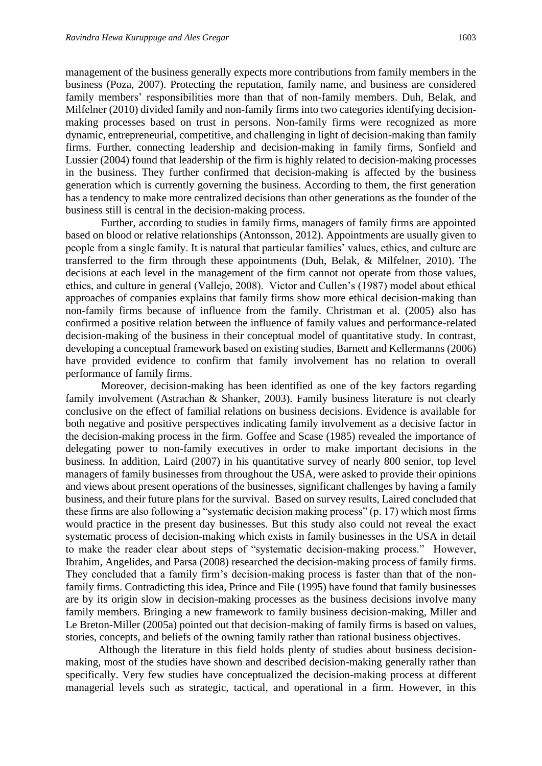management of the business generally expects more contributions from family members in the business (Poza, 2007). Protecting the reputation, family name, and business are considered family members' responsibilities more than that of non-family members. Duh, Belak, and Milfelner (2010) divided family and non-family firms into two categories identifying decisionmaking processes based on trust in persons. Non-family firms were recognized as more dynamic, entrepreneurial, competitive, and challenging in light of decision-making than family firms. Further, connecting leadership and decision-making in family firms, Sonfield and Lussier (2004) found that leadership of the firm is highly related to decision-making processes in the business. They further confirmed that decision-making is affected by the business generation which is currently governing the business. According to them, the first generation has a tendency to make more centralized decisions than other generations as the founder of the business still is central in the decision-making process.

Further, according to studies in family firms, managers of family firms are appointed based on blood or relative relationships (Antonsson, 2012). Appointments are usually given to people from a single family. It is natural that particular families' values, ethics, and culture are transferred to the firm through these appointments (Duh, Belak, & Milfelner, 2010). The decisions at each level in the management of the firm cannot not operate from those values, ethics, and culture in general (Vallejo, 2008). Victor and Cullen's (1987) model about ethical approaches of companies explains that family firms show more ethical decision-making than non-family firms because of influence from the family. Christman et al. (2005) also has confirmed a positive relation between the influence of family values and performance-related decision-making of the business in their conceptual model of quantitative study. In contrast, developing a conceptual framework based on existing studies, Barnett and Kellermanns (2006) have provided evidence to confirm that family involvement has no relation to overall performance of family firms.

Moreover, decision-making has been identified as one of the key factors regarding family involvement (Astrachan & Shanker, 2003). Family business literature is not clearly conclusive on the effect of familial relations on business decisions. Evidence is available for both negative and positive perspectives indicating family involvement as a decisive factor in the decision-making process in the firm. Goffee and Scase (1985) revealed the importance of delegating power to non-family executives in order to make important decisions in the business. In addition, Laird (2007) in his quantitative survey of nearly 800 senior, top level managers of family businesses from throughout the USA, were asked to provide their opinions and views about present operations of the businesses, significant challenges by having a family business, and their future plans for the survival. Based on survey results, Laired concluded that these firms are also following a "systematic decision making process" (p. 17) which most firms would practice in the present day businesses. But this study also could not reveal the exact systematic process of decision-making which exists in family businesses in the USA in detail to make the reader clear about steps of "systematic decision-making process." However, Ibrahim, Angelides, and Parsa (2008) researched the decision-making process of family firms. They concluded that a family firm's decision-making process is faster than that of the nonfamily firms. Contradicting this idea, Prince and File (1995) have found that family businesses are by its origin slow in decision-making processes as the business decisions involve many family members. Bringing a new framework to family business decision-making, Miller and Le Breton-Miller (2005a) pointed out that decision-making of family firms is based on values, stories, concepts, and beliefs of the owning family rather than rational business objectives.

Although the literature in this field holds plenty of studies about business decisionmaking, most of the studies have shown and described decision-making generally rather than specifically. Very few studies have conceptualized the decision-making process at different managerial levels such as strategic, tactical, and operational in a firm. However, in this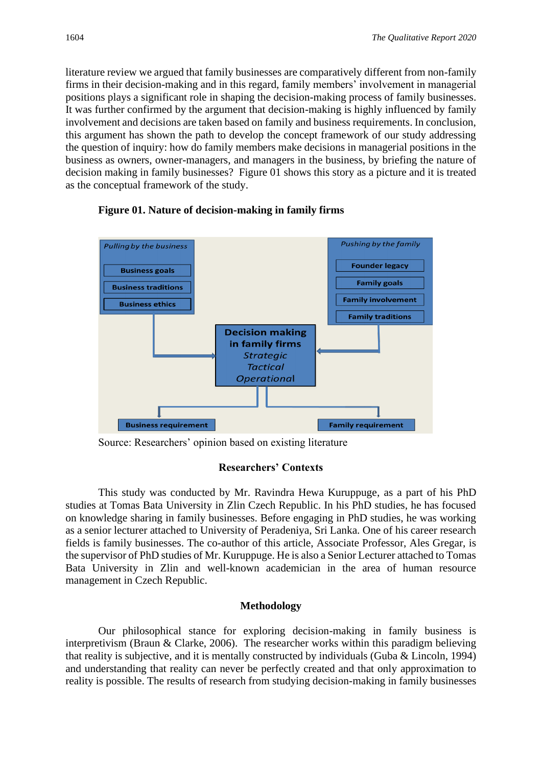literature review we argued that family businesses are comparatively different from non-family firms in their decision-making and in this regard, family members' involvement in managerial positions plays a significant role in shaping the decision-making process of family businesses. It was further confirmed by the argument that decision-making is highly influenced by family involvement and decisions are taken based on family and business requirements. In conclusion, this argument has shown the path to develop the concept framework of our study addressing the question of inquiry: how do family members make decisions in managerial positions in the business as owners, owner-managers, and managers in the business, by briefing the nature of decision making in family businesses? Figure 01 shows this story as a picture and it is treated as the conceptual framework of the study.



#### **Figure 01. Nature of decision-making in family firms**

Source: Researchers' opinion based on existing literature

#### **Researchers' Contexts**

This study was conducted by Mr. Ravindra Hewa Kuruppuge, as a part of his PhD studies at Tomas Bata University in Zlin Czech Republic. In his PhD studies, he has focused on knowledge sharing in family businesses. Before engaging in PhD studies, he was working as a senior lecturer attached to University of Peradeniya, Sri Lanka. One of his career research fields is family businesses. The co-author of this article, Associate Professor, Ales Gregar, is the supervisor of PhD studies of Mr. Kuruppuge. He is also a Senior Lecturer attached to Tomas Bata University in Zlin and well-known academician in the area of human resource management in Czech Republic.

#### **Methodology**

Our philosophical stance for exploring decision-making in family business is interpretivism (Braun & Clarke, 2006). The researcher works within this paradigm believing that reality is subjective, and it is mentally constructed by individuals (Guba & Lincoln, 1994) and understanding that reality can never be perfectly created and that only approximation to reality is possible. The results of research from studying decision-making in family businesses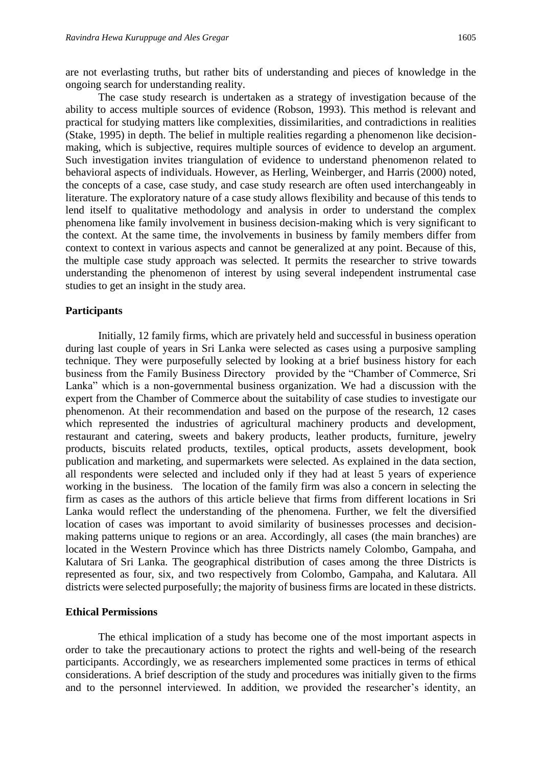are not everlasting truths, but rather bits of understanding and pieces of knowledge in the ongoing search for understanding reality.

The case study research is undertaken as a strategy of investigation because of the ability to access multiple sources of evidence (Robson, 1993). This method is relevant and practical for studying matters like complexities, dissimilarities, and contradictions in realities (Stake, 1995) in depth. The belief in multiple realities regarding a phenomenon like decisionmaking, which is subjective, requires multiple sources of evidence to develop an argument. Such investigation invites triangulation of evidence to understand phenomenon related to behavioral aspects of individuals. However, as Herling, Weinberger, and Harris (2000) noted, the concepts of a case, case study, and case study research are often used interchangeably in literature. The exploratory nature of a case study allows flexibility and because of this tends to lend itself to qualitative methodology and analysis in order to understand the complex phenomena like family involvement in business decision-making which is very significant to the context. At the same time, the involvements in business by family members differ from context to context in various aspects and cannot be generalized at any point. Because of this, the multiple case study approach was selected. It permits the researcher to strive towards understanding the phenomenon of interest by using several independent instrumental case studies to get an insight in the study area.

#### **Participants**

Initially, 12 family firms, which are privately held and successful in business operation during last couple of years in Sri Lanka were selected as cases using a purposive sampling technique. They were purposefully selected by looking at a brief business history for each business from the Family Business Directory provided by the "Chamber of Commerce, Sri Lanka" which is a non-governmental business organization. We had a discussion with the expert from the Chamber of Commerce about the suitability of case studies to investigate our phenomenon. At their recommendation and based on the purpose of the research, 12 cases which represented the industries of agricultural machinery products and development, restaurant and catering, sweets and bakery products, leather products, furniture, jewelry products, biscuits related products, textiles, optical products, assets development, book publication and marketing, and supermarkets were selected. As explained in the data section, all respondents were selected and included only if they had at least 5 years of experience working in the business. The location of the family firm was also a concern in selecting the firm as cases as the authors of this article believe that firms from different locations in Sri Lanka would reflect the understanding of the phenomena. Further, we felt the diversified location of cases was important to avoid similarity of businesses processes and decisionmaking patterns unique to regions or an area. Accordingly, all cases (the main branches) are located in the Western Province which has three Districts namely Colombo, Gampaha, and Kalutara of Sri Lanka. The geographical distribution of cases among the three Districts is represented as four, six, and two respectively from Colombo, Gampaha, and Kalutara. All districts were selected purposefully; the majority of business firms are located in these districts.

#### **Ethical Permissions**

The ethical implication of a study has become one of the most important aspects in order to take the precautionary actions to protect the rights and well-being of the research participants. Accordingly, we as researchers implemented some practices in terms of ethical considerations. A brief description of the study and procedures was initially given to the firms and to the personnel interviewed. In addition, we provided the researcher's identity, an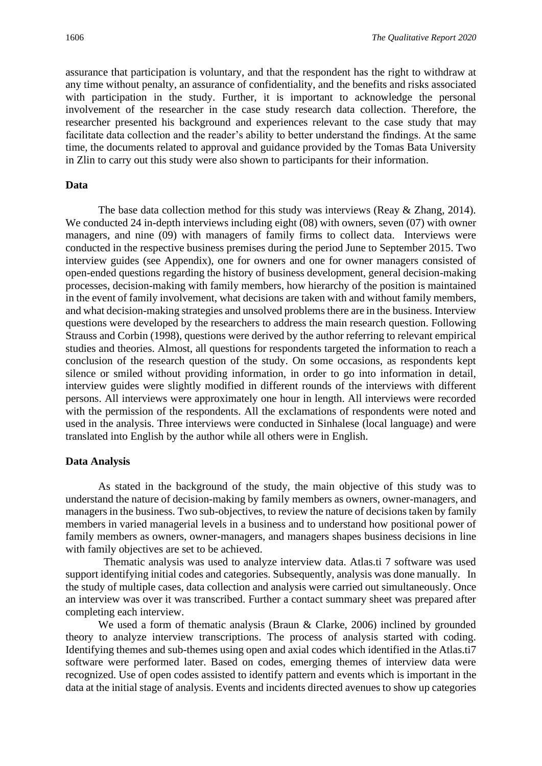assurance that participation is voluntary, and that the respondent has the right to withdraw at any time without penalty, an assurance of confidentiality, and the benefits and risks associated with participation in the study. Further, it is important to acknowledge the personal involvement of the researcher in the case study research data collection. Therefore, the researcher presented his background and experiences relevant to the case study that may facilitate data collection and the reader's ability to better understand the findings. At the same time, the documents related to approval and guidance provided by the Tomas Bata University in Zlin to carry out this study were also shown to participants for their information.

#### **Data**

The base data collection method for this study was interviews (Reay & Zhang, 2014). We conducted 24 in-depth interviews including eight (08) with owners, seven (07) with owner managers, and nine (09) with managers of family firms to collect data. Interviews were conducted in the respective business premises during the period June to September 2015. Two interview guides (see Appendix), one for owners and one for owner managers consisted of open-ended questions regarding the history of business development, general decision-making processes, decision-making with family members, how hierarchy of the position is maintained in the event of family involvement, what decisions are taken with and without family members, and what decision-making strategies and unsolved problems there are in the business. Interview questions were developed by the researchers to address the main research question. Following Strauss and Corbin (1998), questions were derived by the author referring to relevant empirical studies and theories. Almost, all questions for respondents targeted the information to reach a conclusion of the research question of the study. On some occasions, as respondents kept silence or smiled without providing information, in order to go into information in detail, interview guides were slightly modified in different rounds of the interviews with different persons. All interviews were approximately one hour in length. All interviews were recorded with the permission of the respondents. All the exclamations of respondents were noted and used in the analysis. Three interviews were conducted in Sinhalese (local language) and were translated into English by the author while all others were in English.

#### **Data Analysis**

As stated in the background of the study, the main objective of this study was to understand the nature of decision-making by family members as owners, owner-managers, and managers in the business. Two sub-objectives, to review the nature of decisions taken by family members in varied managerial levels in a business and to understand how positional power of family members as owners, owner-managers, and managers shapes business decisions in line with family objectives are set to be achieved.

 Thematic analysis was used to analyze interview data. Atlas.ti 7 software was used support identifying initial codes and categories. Subsequently, analysis was done manually. In the study of multiple cases, data collection and analysis were carried out simultaneously. Once an interview was over it was transcribed. Further a contact summary sheet was prepared after completing each interview.

We used a form of thematic analysis (Braun & Clarke, 2006) inclined by grounded theory to analyze interview transcriptions. The process of analysis started with coding. Identifying themes and sub-themes using open and axial codes which identified in the Atlas.ti7 software were performed later. Based on codes, emerging themes of interview data were recognized. Use of open codes assisted to identify pattern and events which is important in the data at the initial stage of analysis. Events and incidents directed avenues to show up categories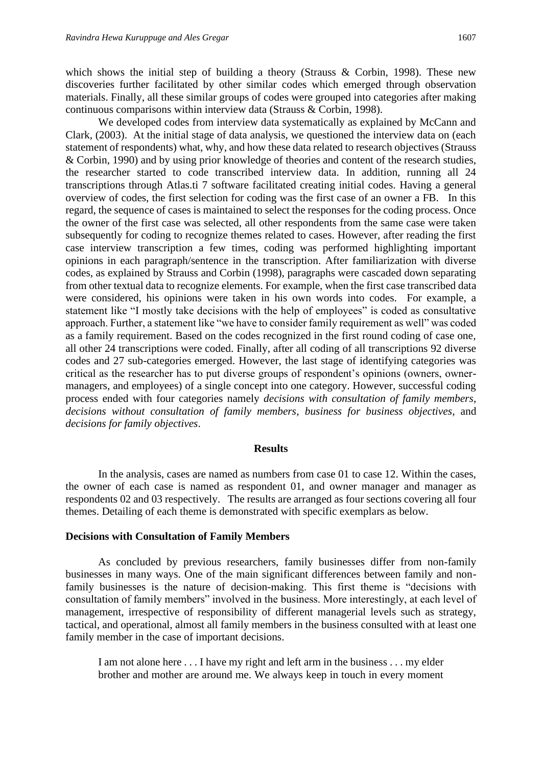which shows the initial step of building a theory (Strauss  $\&$  Corbin, 1998). These new discoveries further facilitated by other similar codes which emerged through observation materials. Finally, all these similar groups of codes were grouped into categories after making continuous comparisons within interview data (Strauss & Corbin, 1998).

We developed codes from interview data systematically as explained by McCann and Clark, (2003). At the initial stage of data analysis, we questioned the interview data on (each statement of respondents) what, why, and how these data related to research objectives (Strauss & Corbin, 1990) and by using prior knowledge of theories and content of the research studies, the researcher started to code transcribed interview data. In addition, running all 24 transcriptions through Atlas.ti 7 software facilitated creating initial codes. Having a general overview of codes, the first selection for coding was the first case of an owner a FB. In this regard, the sequence of cases is maintained to select the responses for the coding process. Once the owner of the first case was selected, all other respondents from the same case were taken subsequently for coding to recognize themes related to cases. However, after reading the first case interview transcription a few times, coding was performed highlighting important opinions in each paragraph/sentence in the transcription. After familiarization with diverse codes, as explained by Strauss and Corbin (1998), paragraphs were cascaded down separating from other textual data to recognize elements. For example, when the first case transcribed data were considered, his opinions were taken in his own words into codes. For example, a statement like "I mostly take decisions with the help of employees" is coded as consultative approach. Further, a statement like "we have to consider family requirement as well" was coded as a family requirement. Based on the codes recognized in the first round coding of case one, all other 24 transcriptions were coded. Finally, after all coding of all transcriptions 92 diverse codes and 27 sub-categories emerged. However, the last stage of identifying categories was critical as the researcher has to put diverse groups of respondent's opinions (owners, ownermanagers, and employees) of a single concept into one category. However, successful coding process ended with four categories namely *decisions with consultation of family members*, *decisions without consultation of family members*, *business for business objectives*, and *decisions for family objectives*.

#### **Results**

In the analysis, cases are named as numbers from case 01 to case 12. Within the cases, the owner of each case is named as respondent 01, and owner manager and manager as respondents 02 and 03 respectively. The results are arranged as four sections covering all four themes. Detailing of each theme is demonstrated with specific exemplars as below.

#### **Decisions with Consultation of Family Members**

As concluded by previous researchers, family businesses differ from non-family businesses in many ways. One of the main significant differences between family and nonfamily businesses is the nature of decision-making. This first theme is "decisions with consultation of family members" involved in the business. More interestingly, at each level of management, irrespective of responsibility of different managerial levels such as strategy, tactical, and operational, almost all family members in the business consulted with at least one family member in the case of important decisions.

I am not alone here . . . I have my right and left arm in the business . . . my elder brother and mother are around me. We always keep in touch in every moment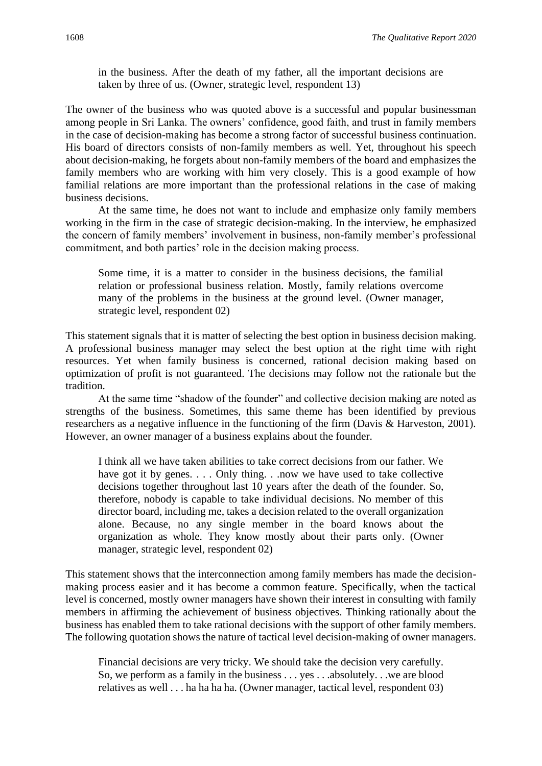in the business. After the death of my father, all the important decisions are taken by three of us. (Owner, strategic level, respondent 13)

The owner of the business who was quoted above is a successful and popular businessman among people in Sri Lanka. The owners' confidence, good faith, and trust in family members in the case of decision-making has become a strong factor of successful business continuation. His board of directors consists of non-family members as well. Yet, throughout his speech about decision-making, he forgets about non-family members of the board and emphasizes the family members who are working with him very closely. This is a good example of how familial relations are more important than the professional relations in the case of making business decisions.

At the same time, he does not want to include and emphasize only family members working in the firm in the case of strategic decision-making. In the interview, he emphasized the concern of family members' involvement in business, non-family member's professional commitment, and both parties' role in the decision making process.

Some time, it is a matter to consider in the business decisions, the familial relation or professional business relation. Mostly, family relations overcome many of the problems in the business at the ground level. (Owner manager, strategic level, respondent 02)

This statement signals that it is matter of selecting the best option in business decision making. A professional business manager may select the best option at the right time with right resources. Yet when family business is concerned, rational decision making based on optimization of profit is not guaranteed. The decisions may follow not the rationale but the tradition.

At the same time "shadow of the founder" and collective decision making are noted as strengths of the business. Sometimes, this same theme has been identified by previous researchers as a negative influence in the functioning of the firm (Davis & Harveston, 2001). However, an owner manager of a business explains about the founder.

I think all we have taken abilities to take correct decisions from our father. We have got it by genes. . . . Only thing. . .now we have used to take collective decisions together throughout last 10 years after the death of the founder. So, therefore, nobody is capable to take individual decisions. No member of this director board, including me, takes a decision related to the overall organization alone. Because, no any single member in the board knows about the organization as whole. They know mostly about their parts only. (Owner manager, strategic level, respondent 02)

This statement shows that the interconnection among family members has made the decisionmaking process easier and it has become a common feature. Specifically, when the tactical level is concerned, mostly owner managers have shown their interest in consulting with family members in affirming the achievement of business objectives. Thinking rationally about the business has enabled them to take rational decisions with the support of other family members. The following quotation shows the nature of tactical level decision-making of owner managers.

Financial decisions are very tricky. We should take the decision very carefully. So, we perform as a family in the business . . . yes . . .absolutely. . .we are blood relatives as well . . . ha ha ha ha. (Owner manager, tactical level, respondent 03)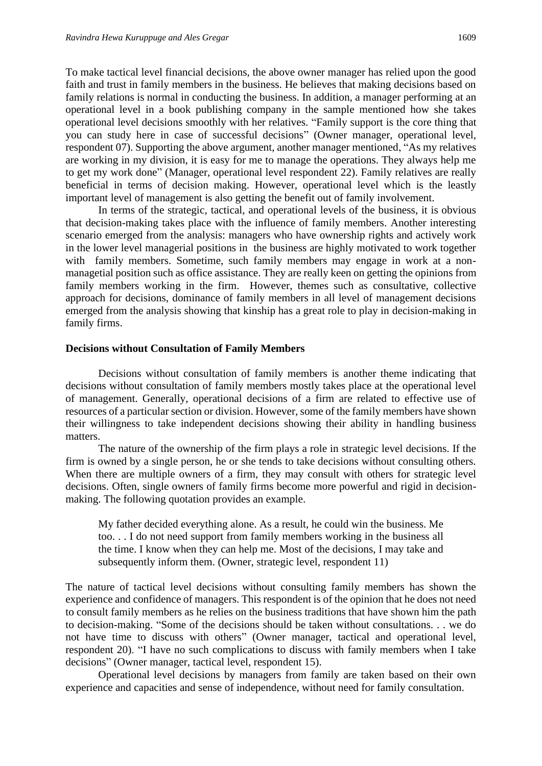To make tactical level financial decisions, the above owner manager has relied upon the good faith and trust in family members in the business. He believes that making decisions based on family relations is normal in conducting the business. In addition, a manager performing at an operational level in a book publishing company in the sample mentioned how she takes operational level decisions smoothly with her relatives. "Family support is the core thing that you can study here in case of successful decisions" (Owner manager, operational level, respondent 07). Supporting the above argument, another manager mentioned, "As my relatives are working in my division, it is easy for me to manage the operations. They always help me to get my work done" (Manager, operational level respondent 22). Family relatives are really beneficial in terms of decision making. However, operational level which is the leastly important level of management is also getting the benefit out of family involvement.

In terms of the strategic, tactical, and operational levels of the business, it is obvious that decision-making takes place with the influence of family members. Another interesting scenario emerged from the analysis: managers who have ownership rights and actively work in the lower level managerial positions in the business are highly motivated to work together with family members. Sometime, such family members may engage in work at a nonmanagetial position such as office assistance. They are really keen on getting the opinions from family members working in the firm. However, themes such as consultative, collective approach for decisions, dominance of family members in all level of management decisions emerged from the analysis showing that kinship has a great role to play in decision-making in family firms.

#### **Decisions without Consultation of Family Members**

Decisions without consultation of family members is another theme indicating that decisions without consultation of family members mostly takes place at the operational level of management. Generally, operational decisions of a firm are related to effective use of resources of a particular section or division. However, some of the family members have shown their willingness to take independent decisions showing their ability in handling business matters.

The nature of the ownership of the firm plays a role in strategic level decisions. If the firm is owned by a single person, he or she tends to take decisions without consulting others. When there are multiple owners of a firm, they may consult with others for strategic level decisions. Often, single owners of family firms become more powerful and rigid in decisionmaking. The following quotation provides an example.

My father decided everything alone. As a result, he could win the business. Me too. . . I do not need support from family members working in the business all the time. I know when they can help me. Most of the decisions, I may take and subsequently inform them. (Owner, strategic level, respondent 11)

The nature of tactical level decisions without consulting family members has shown the experience and confidence of managers. This respondent is of the opinion that he does not need to consult family members as he relies on the business traditions that have shown him the path to decision-making. "Some of the decisions should be taken without consultations. . . we do not have time to discuss with others" (Owner manager, tactical and operational level, respondent 20). "I have no such complications to discuss with family members when I take decisions" (Owner manager, tactical level, respondent 15).

Operational level decisions by managers from family are taken based on their own experience and capacities and sense of independence, without need for family consultation.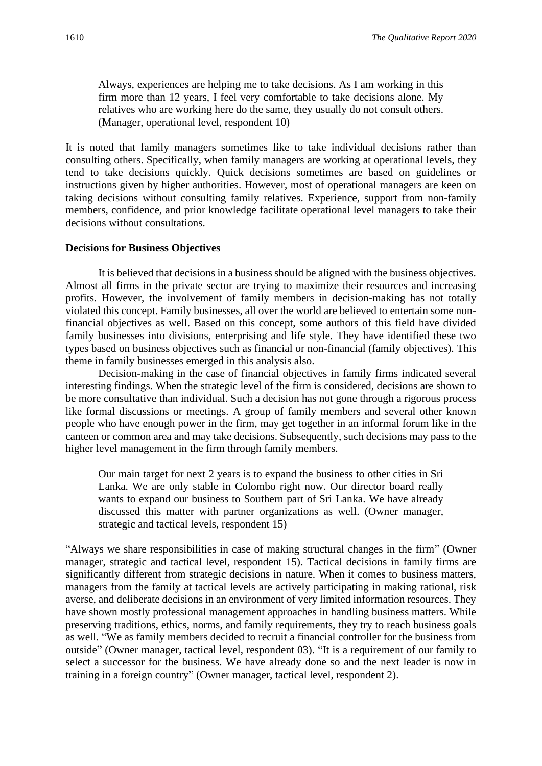Always, experiences are helping me to take decisions. As I am working in this firm more than 12 years, I feel very comfortable to take decisions alone. My relatives who are working here do the same, they usually do not consult others. (Manager, operational level, respondent 10)

It is noted that family managers sometimes like to take individual decisions rather than consulting others. Specifically, when family managers are working at operational levels, they tend to take decisions quickly. Quick decisions sometimes are based on guidelines or instructions given by higher authorities. However, most of operational managers are keen on taking decisions without consulting family relatives. Experience, support from non-family members, confidence, and prior knowledge facilitate operational level managers to take their decisions without consultations.

#### **Decisions for Business Objectives**

It is believed that decisions in a business should be aligned with the business objectives. Almost all firms in the private sector are trying to maximize their resources and increasing profits. However, the involvement of family members in decision-making has not totally violated this concept. Family businesses, all over the world are believed to entertain some nonfinancial objectives as well. Based on this concept, some authors of this field have divided family businesses into divisions, enterprising and life style. They have identified these two types based on business objectives such as financial or non-financial (family objectives). This theme in family businesses emerged in this analysis also.

Decision-making in the case of financial objectives in family firms indicated several interesting findings. When the strategic level of the firm is considered, decisions are shown to be more consultative than individual. Such a decision has not gone through a rigorous process like formal discussions or meetings. A group of family members and several other known people who have enough power in the firm, may get together in an informal forum like in the canteen or common area and may take decisions. Subsequently, such decisions may pass to the higher level management in the firm through family members.

Our main target for next 2 years is to expand the business to other cities in Sri Lanka. We are only stable in Colombo right now. Our director board really wants to expand our business to Southern part of Sri Lanka. We have already discussed this matter with partner organizations as well. (Owner manager, strategic and tactical levels, respondent 15)

"Always we share responsibilities in case of making structural changes in the firm" (Owner manager, strategic and tactical level, respondent 15). Tactical decisions in family firms are significantly different from strategic decisions in nature. When it comes to business matters, managers from the family at tactical levels are actively participating in making rational, risk averse, and deliberate decisions in an environment of very limited information resources. They have shown mostly professional management approaches in handling business matters. While preserving traditions, ethics, norms, and family requirements, they try to reach business goals as well. "We as family members decided to recruit a financial controller for the business from outside" (Owner manager, tactical level, respondent 03). "It is a requirement of our family to select a successor for the business. We have already done so and the next leader is now in training in a foreign country" (Owner manager, tactical level, respondent 2).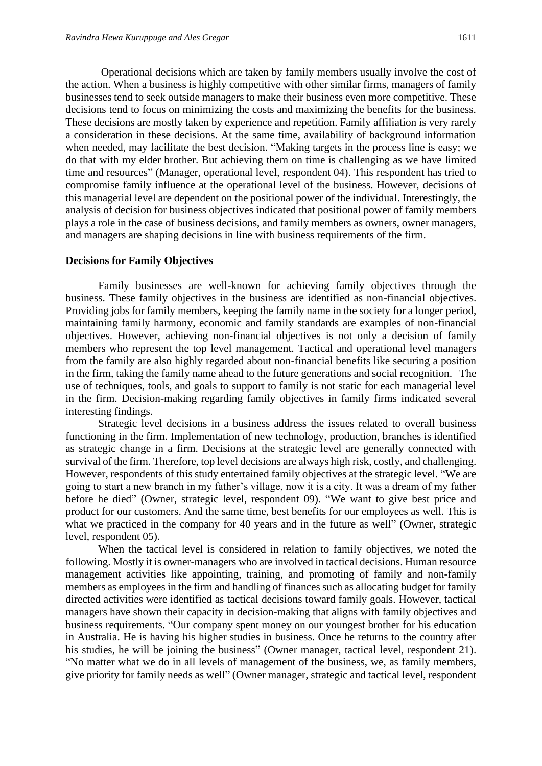Operational decisions which are taken by family members usually involve the cost of the action. When a business is highly competitive with other similar firms, managers of family businesses tend to seek outside managers to make their business even more competitive. These decisions tend to focus on minimizing the costs and maximizing the benefits for the business. These decisions are mostly taken by experience and repetition. Family affiliation is very rarely a consideration in these decisions. At the same time, availability of background information when needed, may facilitate the best decision. "Making targets in the process line is easy; we do that with my elder brother. But achieving them on time is challenging as we have limited time and resources" (Manager, operational level, respondent 04). This respondent has tried to compromise family influence at the operational level of the business. However, decisions of this managerial level are dependent on the positional power of the individual. Interestingly, the analysis of decision for business objectives indicated that positional power of family members plays a role in the case of business decisions, and family members as owners, owner managers, and managers are shaping decisions in line with business requirements of the firm.

#### **Decisions for Family Objectives**

Family businesses are well-known for achieving family objectives through the business. These family objectives in the business are identified as non-financial objectives. Providing jobs for family members, keeping the family name in the society for a longer period, maintaining family harmony, economic and family standards are examples of non-financial objectives. However, achieving non-financial objectives is not only a decision of family members who represent the top level management. Tactical and operational level managers from the family are also highly regarded about non-financial benefits like securing a position in the firm, taking the family name ahead to the future generations and social recognition. The use of techniques, tools, and goals to support to family is not static for each managerial level in the firm. Decision-making regarding family objectives in family firms indicated several interesting findings.

Strategic level decisions in a business address the issues related to overall business functioning in the firm. Implementation of new technology, production, branches is identified as strategic change in a firm. Decisions at the strategic level are generally connected with survival of the firm. Therefore, top level decisions are always high risk, costly, and challenging. However, respondents of this study entertained family objectives at the strategic level. "We are going to start a new branch in my father's village, now it is a city. It was a dream of my father before he died" (Owner, strategic level, respondent 09). "We want to give best price and product for our customers. And the same time, best benefits for our employees as well. This is what we practiced in the company for 40 years and in the future as well" (Owner, strategic level, respondent 05).

When the tactical level is considered in relation to family objectives, we noted the following. Mostly it is owner-managers who are involved in tactical decisions. Human resource management activities like appointing, training, and promoting of family and non-family members as employees in the firm and handling of finances such as allocating budget for family directed activities were identified as tactical decisions toward family goals. However, tactical managers have shown their capacity in decision-making that aligns with family objectives and business requirements. "Our company spent money on our youngest brother for his education in Australia. He is having his higher studies in business. Once he returns to the country after his studies, he will be joining the business" (Owner manager, tactical level, respondent 21). "No matter what we do in all levels of management of the business, we, as family members, give priority for family needs as well" (Owner manager, strategic and tactical level, respondent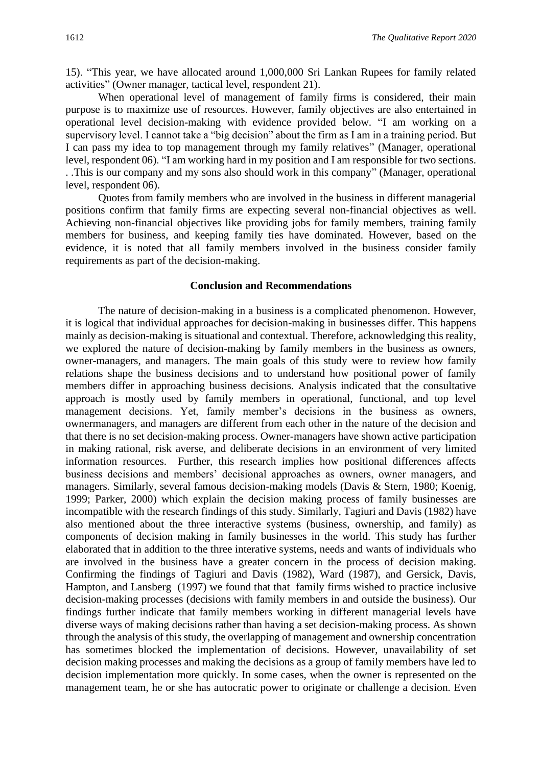15). "This year, we have allocated around 1,000,000 Sri Lankan Rupees for family related activities" (Owner manager, tactical level, respondent 21).

When operational level of management of family firms is considered, their main purpose is to maximize use of resources. However, family objectives are also entertained in operational level decision-making with evidence provided below. "I am working on a supervisory level. I cannot take a "big decision" about the firm as I am in a training period. But I can pass my idea to top management through my family relatives" (Manager, operational level, respondent 06). "I am working hard in my position and I am responsible for two sections. . .This is our company and my sons also should work in this company" (Manager, operational level, respondent 06).

Quotes from family members who are involved in the business in different managerial positions confirm that family firms are expecting several non-financial objectives as well. Achieving non-financial objectives like providing jobs for family members, training family members for business, and keeping family ties have dominated. However, based on the evidence, it is noted that all family members involved in the business consider family requirements as part of the decision-making.

#### **Conclusion and Recommendations**

The nature of decision-making in a business is a complicated phenomenon. However, it is logical that individual approaches for decision-making in businesses differ. This happens mainly as decision-making is situational and contextual. Therefore, acknowledging this reality, we explored the nature of decision-making by family members in the business as owners, owner-managers, and managers. The main goals of this study were to review how family relations shape the business decisions and to understand how positional power of family members differ in approaching business decisions. Analysis indicated that the consultative approach is mostly used by family members in operational, functional, and top level management decisions. Yet, family member's decisions in the business as owners, ownermanagers, and managers are different from each other in the nature of the decision and that there is no set decision-making process. Owner-managers have shown active participation in making rational, risk averse, and deliberate decisions in an environment of very limited information resources. Further, this research implies how positional differences affects business decisions and members' decisional approaches as owners, owner managers, and managers. Similarly, several famous decision-making models (Davis & Stern, 1980; Koenig, 1999; Parker, 2000) which explain the decision making process of family businesses are incompatible with the research findings of this study. Similarly, Tagiuri and Davis (1982) have also mentioned about the three interactive systems (business, ownership, and family) as components of decision making in family businesses in the world. This study has further elaborated that in addition to the three interative systems, needs and wants of individuals who are involved in the business have a greater concern in the process of decision making. Confirming the findings of Tagiuri and Davis (1982), Ward (1987), and Gersick, Davis, Hampton, and Lansberg (1997) we found that that family firms wished to practice inclusive decision-making processes (decisions with family members in and outside the business). Our findings further indicate that family members working in different managerial levels have diverse ways of making decisions rather than having a set decision-making process. As shown through the analysis of this study, the overlapping of management and ownership concentration has sometimes blocked the implementation of decisions. However, unavailability of set decision making processes and making the decisions as a group of family members have led to decision implementation more quickly. In some cases, when the owner is represented on the management team, he or she has autocratic power to originate or challenge a decision. Even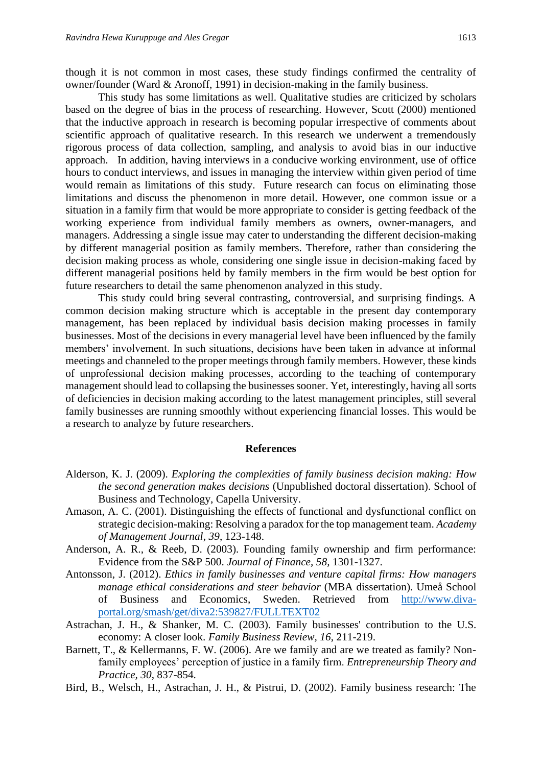though it is not common in most cases, these study findings confirmed the centrality of owner/founder (Ward & Aronoff, 1991) in decision-making in the family business.

This study has some limitations as well. Qualitative studies are criticized by scholars based on the degree of bias in the process of researching. However, Scott (2000) mentioned that the inductive approach in research is becoming popular irrespective of comments about scientific approach of qualitative research. In this research we underwent a tremendously rigorous process of data collection, sampling, and analysis to avoid bias in our inductive approach. In addition, having interviews in a conducive working environment, use of office hours to conduct interviews, and issues in managing the interview within given period of time would remain as limitations of this study. Future research can focus on eliminating those limitations and discuss the phenomenon in more detail. However, one common issue or a situation in a family firm that would be more appropriate to consider is getting feedback of the working experience from individual family members as owners, owner-managers, and managers. Addressing a single issue may cater to understanding the different decision-making by different managerial position as family members. Therefore, rather than considering the decision making process as whole, considering one single issue in decision-making faced by different managerial positions held by family members in the firm would be best option for future researchers to detail the same phenomenon analyzed in this study.

This study could bring several contrasting, controversial, and surprising findings. A common decision making structure which is acceptable in the present day contemporary management, has been replaced by individual basis decision making processes in family businesses. Most of the decisions in every managerial level have been influenced by the family members' involvement. In such situations, decisions have been taken in advance at informal meetings and channeled to the proper meetings through family members. However, these kinds of unprofessional decision making processes, according to the teaching of contemporary management should lead to collapsing the businesses sooner. Yet, interestingly, having all sorts of deficiencies in decision making according to the latest management principles, still several family businesses are running smoothly without experiencing financial losses. This would be a research to analyze by future researchers.

#### **References**

- Alderson, K. J. (2009). *Exploring the complexities of family business decision making: How the second generation makes decisions* (Unpublished doctoral dissertation). School of Business and Technology, Capella University.
- Amason, A. C. (2001). Distinguishing the effects of functional and dysfunctional conflict on strategic decision-making: Resolving a paradox for the top management team. *Academy of Management Journal*, *39*, 123-148.
- Anderson, A. R., & Reeb, D. (2003). Founding family ownership and firm performance: Evidence from the S&P 500. *Journal of Finance, 58,* 1301-1327.
- Antonsson, J. (2012). *Ethics in family businesses and venture capital firms: How managers manage ethical considerations and steer behavior* (MBA dissertation). Umeå School of Business and Economics, Sweden. Retrieved from [http://www.diva](http://www.diva-portal.org/smash/get/diva2:539827/FULLTEXT02)[portal.org/smash/get/diva2:539827/FULLTEXT02](http://www.diva-portal.org/smash/get/diva2:539827/FULLTEXT02)
- Astrachan, J. H., & Shanker, M. C. (2003). Family businesses' contribution to the U.S. economy: A closer look. *Family Business Review, 16*, 211-219.
- Barnett, T., & Kellermanns, F. W. (2006). Are we family and are we treated as family? Nonfamily employees' perception of justice in a family firm. *Entrepreneurship Theory and Practice, 30*, 837-854.
- Bird, B., Welsch, H., Astrachan, J. H., & Pistrui, D. (2002). Family business research: The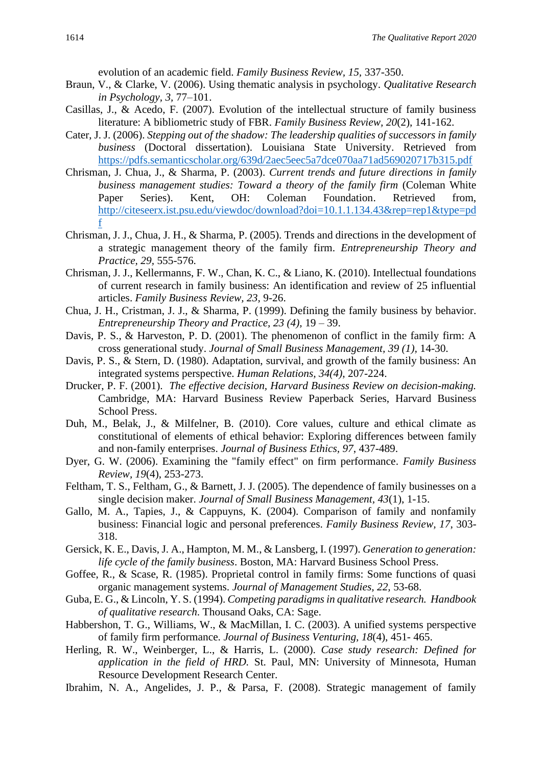evolution of an academic field. *Family Business Review, 15,* 337-350.

- Braun, V., & Clarke, V. (2006). Using thematic analysis in psychology. *Qualitative Research in Psychology, 3,* 77–101.
- Casillas, J., & Acedo, F. (2007). Evolution of the intellectual structure of family business literature: A bibliometric study of FBR. *Family Business Review, 20*(2), 141-162.
- Cater, J. J. (2006). *Stepping out of the shadow: The leadership qualities of successors in family business* (Doctoral dissertation). Louisiana State University. Retrieved from <https://pdfs.semanticscholar.org/639d/2aec5eec5a7dce070aa71ad569020717b315.pdf>
- Chrisman, J. Chua, J., & Sharma, P. (2003). *Current trends and future directions in family business management studies: Toward a theory of the family firm* (Coleman White Paper Series). Kent, OH: Coleman Foundation. Retrieved from, [http://citeseerx.ist.psu.edu/viewdoc/download?doi=10.1.1.134.43&rep=rep1&type=pd](http://citeseerx.ist.psu.edu/viewdoc/download?doi=10.1.1.134.43&rep=rep1&type=pdf) [f](http://citeseerx.ist.psu.edu/viewdoc/download?doi=10.1.1.134.43&rep=rep1&type=pdf)
- Chrisman, J. J., Chua, J. H., & Sharma, P. (2005). Trends and directions in the development of a strategic management theory of the family firm. *Entrepreneurship Theory and Practice, 29,* 555-576.
- Chrisman, J. J., Kellermanns, F. W., Chan, K. C., & Liano, K. (2010). Intellectual foundations of current research in family business: An identification and review of 25 influential articles. *Family Business Review, 23,* 9-26.
- Chua, J. H., Cristman, J. J., & Sharma, P. (1999). Defining the family business by behavior. *Entrepreneurship Theory and Practice, 23 (4),* 19 – 39.
- Davis, P. S., & Harveston, P. D. (2001). The phenomenon of conflict in the family firm: A cross generational study. *Journal of Small Business Management, 39 (1),* 14-30.
- Davis, P. S., & Stern, D. (1980). Adaptation, survival, and growth of the family business: An integrated systems perspective. *Human Relations, 34(4)*, 207-224.
- Drucker, P. F. (2001). *The effective decision, Harvard Business Review on decision-making.* Cambridge, MA: Harvard Business Review Paperback Series, Harvard Business School Press.
- Duh, M., Belak, J., & Milfelner, B. (2010). Core values, culture and ethical climate as constitutional of elements of ethical behavior: Exploring differences between family and non-family enterprises. *Journal of Business Ethics, 97*, 437-489.
- Dyer, G. W. (2006). Examining the "family effect" on firm performance. *Family Business Review, 19*(4), 253-273.
- Feltham, T. S., Feltham, G., & Barnett, J. J. (2005). The dependence of family businesses on a single decision maker. *Journal of Small Business Management, 43*(1), 1-15.
- Gallo, M. A., Tapies, J., & Cappuyns, K. (2004). Comparison of family and nonfamily business: Financial logic and personal preferences. *Family Business Review, 17*, 303- 318.
- Gersick, K. E., Davis, J. A., Hampton, M. M., & Lansberg, I. (1997). *Generation to generation: life cycle of the family business*. Boston, MA: Harvard Business School Press.
- Goffee, R., & Scase, R. (1985). Proprietal control in family firms: Some functions of quasi organic management systems. *Journal of Management Studies, 22,* 53-68.
- Guba, E. G., & Lincoln, Y. S. (1994). *Competing paradigms in qualitative research. Handbook of qualitative research*. Thousand Oaks, CA: Sage.
- Habbershon, T. G., Williams, W., & MacMillan, I. C. (2003). A unified systems perspective of family firm performance. *Journal of Business Venturing, 18*(4), 451- 465.
- Herling, R. W., Weinberger, L., & Harris, L. (2000). *Case study research: Defined for application in the field of HRD.* St. Paul, MN: University of Minnesota, Human Resource Development Research Center.
- Ibrahim, N. A., Angelides, J. P., & Parsa, F. (2008). Strategic management of family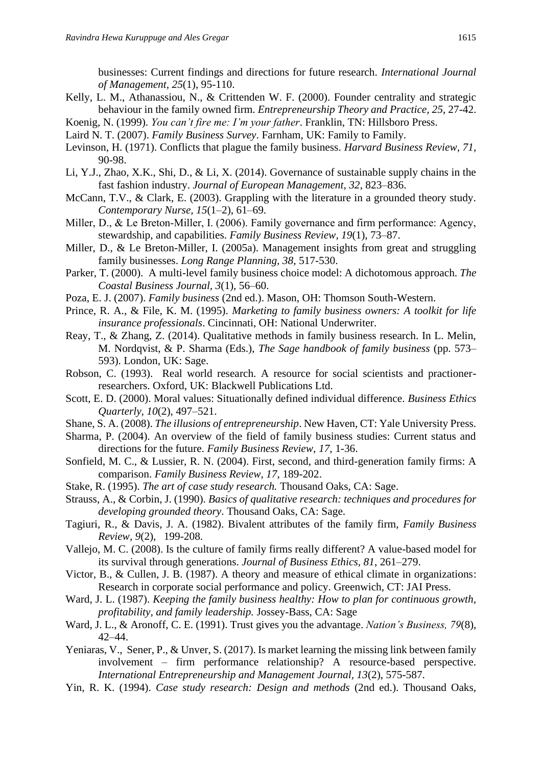businesses: Current findings and directions for future research. *International Journal of Management, 25*(1), 95-110.

- Kelly, L. M., Athanassiou, N., & Crittenden W. F. (2000). Founder centrality and strategic behaviour in the family owned firm. *Entrepreneurship Theory and Practice, 25*, 27-42.
- Koenig, N. (1999). *You can't fire me: I'm your father*. Franklin, TN: Hillsboro Press.
- Laird N. T. (2007). *Family Business Survey*. Farnham, UK: Family to Family.
- Levinson, H. (1971). Conflicts that plague the family business. *Harvard Business Review, 71*, 90-98.
- Li, Y.J., Zhao, X.K., Shi, D., & Li, X. (2014). Governance of sustainable supply chains in the fast fashion industry. *Journal of European Management, 32*, 823–836.
- McCann, T.V., & Clark, E. (2003). Grappling with the literature in a grounded theory study. *Contemporary Nurse, 15*(1–2), 61–69.
- Miller, D., & Le Breton-Miller, I. (2006). Family governance and firm performance: Agency, stewardship, and capabilities. *Family Business Review, 19*(1), 73–87.
- Miller, D., & Le Breton-Miller, I. (2005a). Management insights from great and struggling family businesses. *Long Range Planning, 38*, 517-530.
- Parker, T. (2000). A multi-level family business choice model: A dichotomous approach. *The Coastal Business Journal, 3*(1), 56–60.
- Poza, E. J. (2007). *Family business* (2nd ed.). Mason, OH: Thomson South-Western.
- Prince, R. A., & File, K. M. (1995). *Marketing to family business owners: A toolkit for life insurance professionals*. Cincinnati, OH: National Underwriter.
- Reay, T., & Zhang, Z. (2014). Qualitative methods in family business research. In L. Melin, M. Nordqvist, & P. Sharma (Eds.), *The Sage handbook of family business* (pp. 573– 593). London, UK: Sage.
- Robson, C. (1993). Real world research. A resource for social scientists and practionerresearchers. Oxford, UK: Blackwell Publications Ltd.
- Scott, E. D. (2000). Moral values: Situationally defined individual difference. *Business Ethics Quarterly, 10*(2), 497–521.
- Shane, S. A. (2008). *The illusions of entrepreneurship*. New Haven, CT: Yale University Press.
- Sharma, P. (2004). An overview of the field of family business studies: Current status and directions for the future. *Family Business Review, 17,* 1-36.
- Sonfield, M. C., & Lussier, R. N. (2004). First, second, and third-generation family firms: A comparison. *Family Business Review, 17*, 189-202.
- Stake, R. (1995). *The art of case study research.* Thousand Oaks, CA: Sage.
- Strauss, A., & Corbin, J. (1990). *Basics of qualitative research: techniques and procedures for developing grounded theory*. Thousand Oaks, CA: Sage.
- Tagiuri, R., & Davis, J. A. (1982). Bivalent attributes of the family firm, *Family Business Review, 9*(2), 199-208.
- Vallejo, M. C. (2008). Is the culture of family firms really different? A value-based model for its survival through generations. *Journal of Business Ethics, 81*, 261–279.
- Victor, B., & Cullen, J. B. (1987). A theory and measure of ethical climate in organizations: Research in corporate social performance and policy. Greenwich, CT: JAI Press.
- Ward, J. L. (1987). *Keeping the family business healthy: How to plan for continuous growth, profitability, and family leadership.* Jossey-Bass, CA: Sage
- Ward, J. L., & Aronoff, C. E. (1991). Trust gives you the advantage. *Nation's Business, 79*(8), 42–44.
- Yeniaras, V., Sener, P., & Unver, S. (2017). Is market learning the missing link between family involvement – firm performance relationship? A resource-based perspective. *International Entrepreneurship and Management Journal, 13*(2), 575-587.
- Yin, R. K. (1994). *Case study research: Design and methods* (2nd ed.). Thousand Oaks,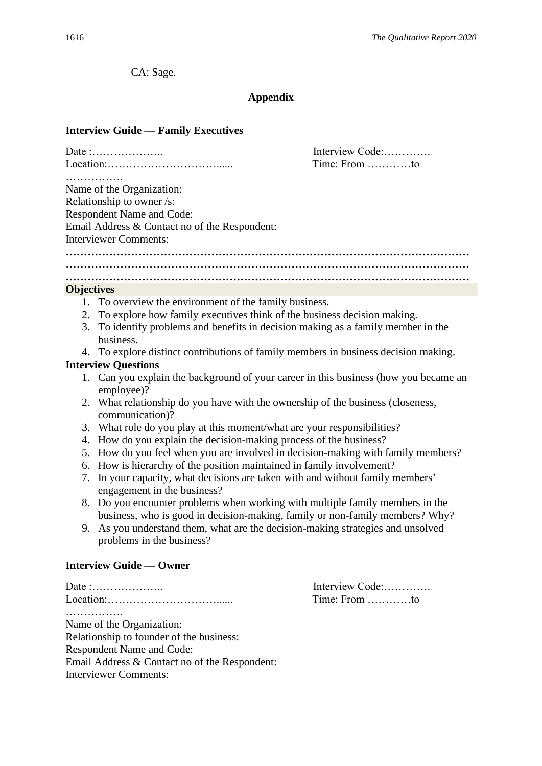CA: Sage.

#### **Appendix**

#### **Interview Guide — Family Executives**

|                                               |                                                                                                                                            | Interview Code:                 |
|-----------------------------------------------|--------------------------------------------------------------------------------------------------------------------------------------------|---------------------------------|
|                                               |                                                                                                                                            | Time: From $\dots\dots\dots$ to |
|                                               | Name of the Organization:                                                                                                                  |                                 |
| Relationship to owner /s:                     |                                                                                                                                            |                                 |
| <b>Respondent Name and Code:</b>              |                                                                                                                                            |                                 |
| Email Address & Contact no of the Respondent: |                                                                                                                                            |                                 |
| <b>Interviewer Comments:</b>                  |                                                                                                                                            |                                 |
|                                               |                                                                                                                                            |                                 |
|                                               |                                                                                                                                            |                                 |
|                                               |                                                                                                                                            |                                 |
| <b>Objectives</b>                             |                                                                                                                                            |                                 |
|                                               | 1. To overview the environment of the family business.                                                                                     |                                 |
|                                               | 2. To explore how family executives think of the business decision making.                                                                 |                                 |
|                                               | 3. To identify problems and benefits in decision making as a family member in the                                                          |                                 |
|                                               | business.                                                                                                                                  |                                 |
|                                               | 4. To explore distinct contributions of family members in business decision making.                                                        |                                 |
|                                               | <b>Interview Questions</b>                                                                                                                 |                                 |
|                                               | 1. Can you explain the background of your career in this business (how you became an<br>employee)?                                         |                                 |
|                                               | 2. What relationship do you have with the ownership of the business (closeness,<br>communication)?                                         |                                 |
|                                               |                                                                                                                                            |                                 |
| 4.                                            | 3. What role do you play at this moment/what are your responsibilities?<br>How do you explain the decision-making process of the business? |                                 |
| 5.                                            | How do you feel when you are involved in decision-making with family members?                                                              |                                 |
| 6.                                            | How is hierarchy of the position maintained in family involvement?                                                                         |                                 |
|                                               | 7. In your capacity, what decisions are taken with and without family members'                                                             |                                 |
|                                               |                                                                                                                                            |                                 |

- engagement in the business?
- 8. Do you encounter problems when working with multiple family members in the business, who is good in decision-making, family or non-family members? Why?
- 9. As you understand them, what are the decision-making strategies and unsolved problems in the business?

#### **Interview Guide — Owner**

Date :……………….. Interview Code:…………. Location:…………………………...... Time: From …………to ……………. Name of the Organization: Relationship to founder of the business: Respondent Name and Code: Email Address & Contact no of the Respondent: Interviewer Comments: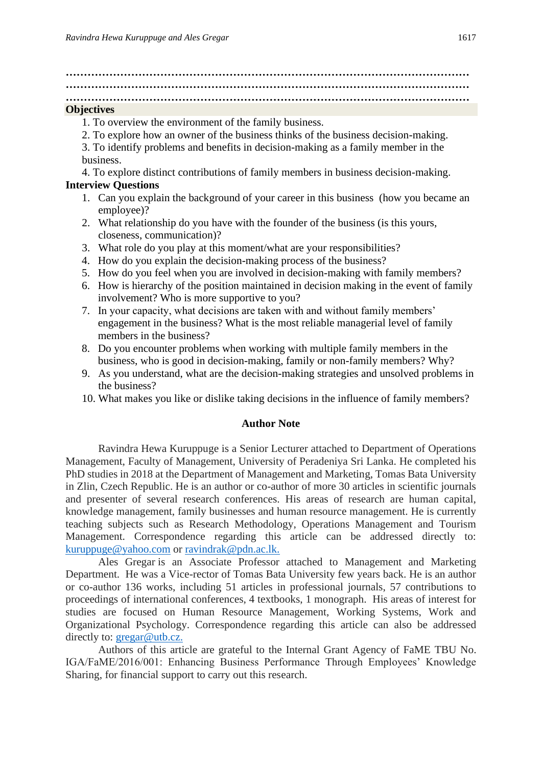**………………………………………………………………………………………………… …………………………………………………………………………………………………**

#### **…………………………………………………………………………………………………**

#### **Objectives**

- 1. To overview the environment of the family business.
- 2. To explore how an owner of the business thinks of the business decision-making.
- 3. To identify problems and benefits in decision-making as a family member in the business.

4. To explore distinct contributions of family members in business decision-making.

#### **Interview Questions**

- 1. Can you explain the background of your career in this business (how you became an employee)?
- 2. What relationship do you have with the founder of the business (is this yours, closeness, communication)?
- 3. What role do you play at this moment/what are your responsibilities?
- 4. How do you explain the decision-making process of the business?
- 5. How do you feel when you are involved in decision-making with family members?
- 6. How is hierarchy of the position maintained in decision making in the event of family involvement? Who is more supportive to you?
- 7. In your capacity, what decisions are taken with and without family members' engagement in the business? What is the most reliable managerial level of family members in the business?
- 8. Do you encounter problems when working with multiple family members in the business, who is good in decision-making, family or non-family members? Why?
- 9. As you understand, what are the decision-making strategies and unsolved problems in the business?
- 10. What makes you like or dislike taking decisions in the influence of family members?

#### **Author Note**

Ravindra Hewa Kuruppuge is a Senior Lecturer attached to Department of Operations Management, Faculty of Management, University of Peradeniya Sri Lanka. He completed his PhD studies in 2018 at the Department of Management and Marketing, Tomas Bata University in Zlin, Czech Republic. He is an author or co-author of more 30 articles in scientific journals and presenter of several research conferences. His areas of research are human capital, knowledge management, family businesses and human resource management. He is currently teaching subjects such as Research Methodology, Operations Management and Tourism Management. Correspondence regarding this article can be addressed directly to: [kuruppuge@yahoo.com](mailto:kuruppuge@yahoo.com) or [ravindrak@pdn.ac.lk.](mailto:ravindrak@pdn.ac.lk)

Ales Gregar is an Associate Professor attached to Management and Marketing Department. He was a Vice-rector of Tomas Bata University few years back. He is an author or co-author 136 works, including 51 articles in professional journals, 57 contributions to proceedings of international conferences, 4 textbooks, 1 monograph. His areas of interest for studies are focused on Human Resource Management, Working Systems, Work and Organizational Psychology. Correspondence regarding this article can also be addressed directly to: [gregar@utb.cz.](mailto:gregar@utb.cz)

Authors of this article are grateful to the Internal Grant Agency of FaME TBU No. IGA/FaME/2016/001: Enhancing Business Performance Through Employees' Knowledge Sharing, for financial support to carry out this research.